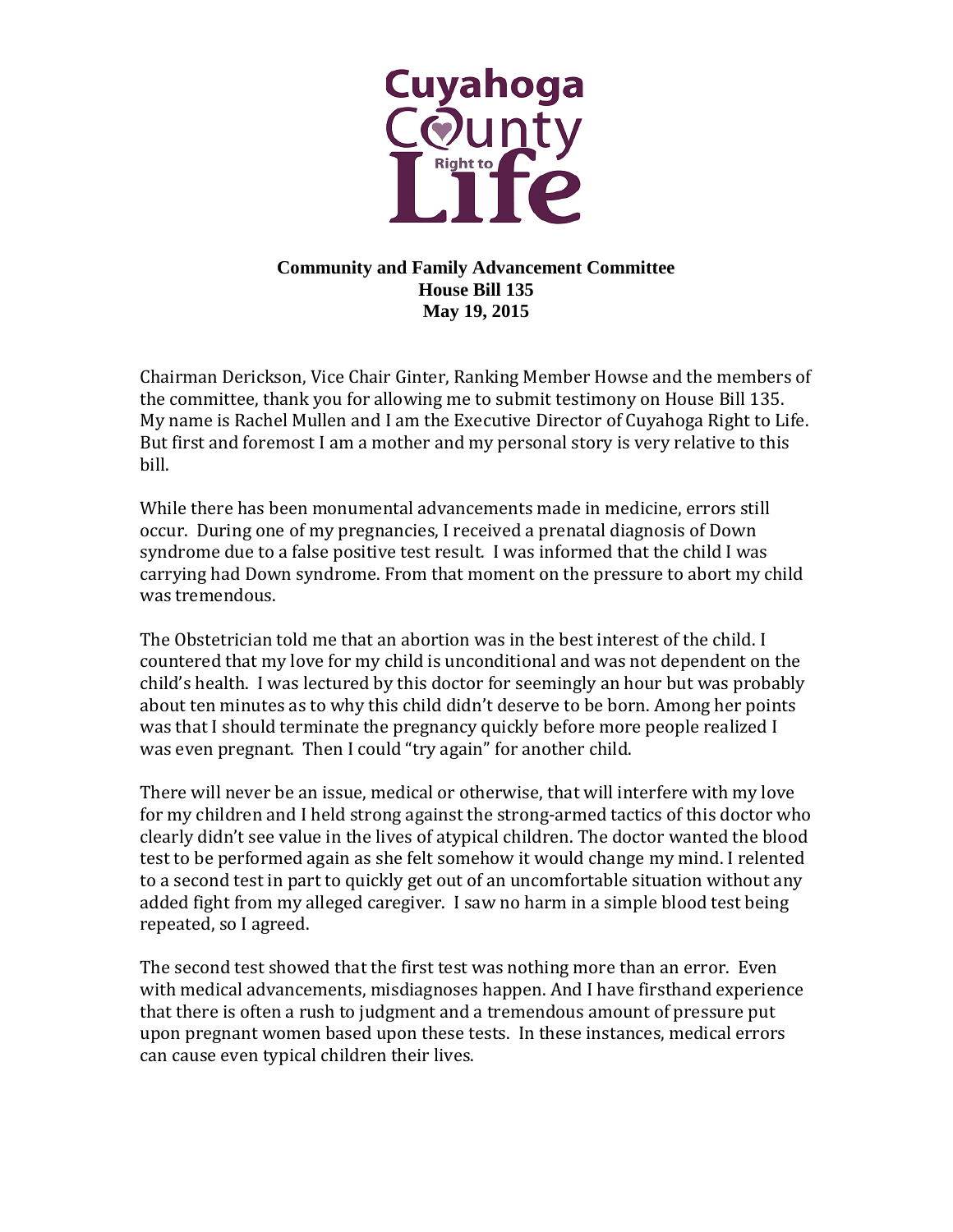

## **Community and Family Advancement Committee House Bill 135 May 19, 2015**

Chairman Derickson, Vice Chair Ginter, Ranking Member Howse and the members of the committee, thank you for allowing me to submit testimony on House Bill 135. My name is Rachel Mullen and I am the Executive Director of Cuyahoga Right to Life. But first and foremost I am a mother and my personal story is very relative to this bill.

While there has been monumental advancements made in medicine, errors still occur. During one of my pregnancies, I received a prenatal diagnosis of Down syndrome due to a false positive test result. I was informed that the child I was carrying had Down syndrome. From that moment on the pressure to abort my child was tremendous.

The Obstetrician told me that an abortion was in the best interest of the child. I countered that my love for my child is unconditional and was not dependent on the child's health. I was lectured by this doctor for seemingly an hour but was probably about ten minutes as to why this child didn't deserve to be born. Among her points was that I should terminate the pregnancy quickly before more people realized I was even pregnant. Then I could "try again" for another child.

There will never be an issue, medical or otherwise, that will interfere with my love for my children and I held strong against the strong-armed tactics of this doctor who clearly didn't see value in the lives of atypical children. The doctor wanted the blood test to be performed again as she felt somehow it would change my mind. I relented to a second test in part to quickly get out of an uncomfortable situation without any added fight from my alleged caregiver. I saw no harm in a simple blood test being repeated, so I agreed.

The second test showed that the first test was nothing more than an error. Even with medical advancements, misdiagnoses happen. And I have firsthand experience that there is often a rush to judgment and a tremendous amount of pressure put upon pregnant women based upon these tests. In these instances, medical errors can cause even typical children their lives.